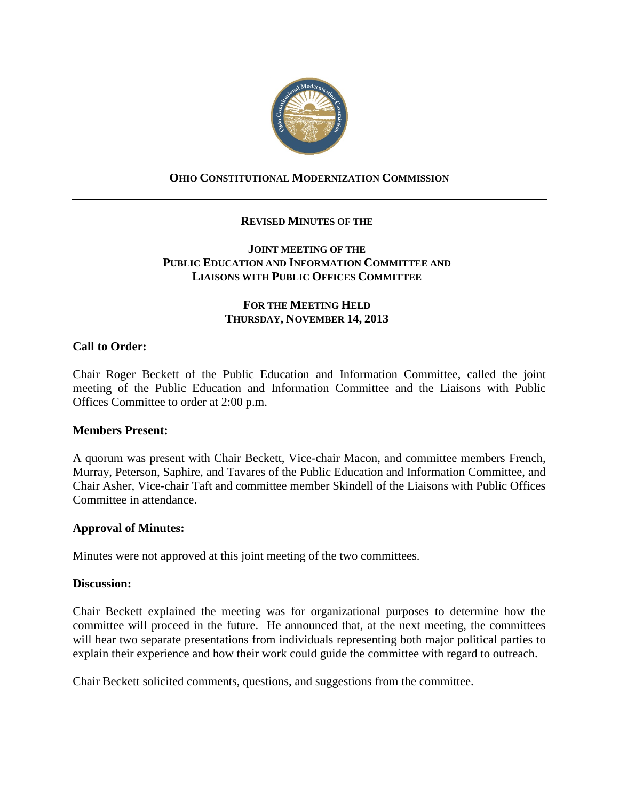

# **OHIO CONSTITUTIONAL MODERNIZATION COMMISSION**

## **REVISED MINUTES OF THE**

## **JOINT MEETING OF THE PUBLIC EDUCATION AND INFORMATION COMMITTEE AND LIAISONS WITH PUBLIC OFFICES COMMITTEE**

## **FOR THE MEETING HELD THURSDAY, NOVEMBER 14, 2013**

## **Call to Order:**

Chair Roger Beckett of the Public Education and Information Committee, called the joint meeting of the Public Education and Information Committee and the Liaisons with Public Offices Committee to order at 2:00 p.m.

#### **Members Present:**

A quorum was present with Chair Beckett, Vice-chair Macon, and committee members French, Murray, Peterson, Saphire, and Tavares of the Public Education and Information Committee, and Chair Asher, Vice-chair Taft and committee member Skindell of the Liaisons with Public Offices Committee in attendance.

#### **Approval of Minutes:**

Minutes were not approved at this joint meeting of the two committees.

#### **Discussion:**

Chair Beckett explained the meeting was for organizational purposes to determine how the committee will proceed in the future. He announced that, at the next meeting, the committees will hear two separate presentations from individuals representing both major political parties to explain their experience and how their work could guide the committee with regard to outreach.

Chair Beckett solicited comments, questions, and suggestions from the committee.